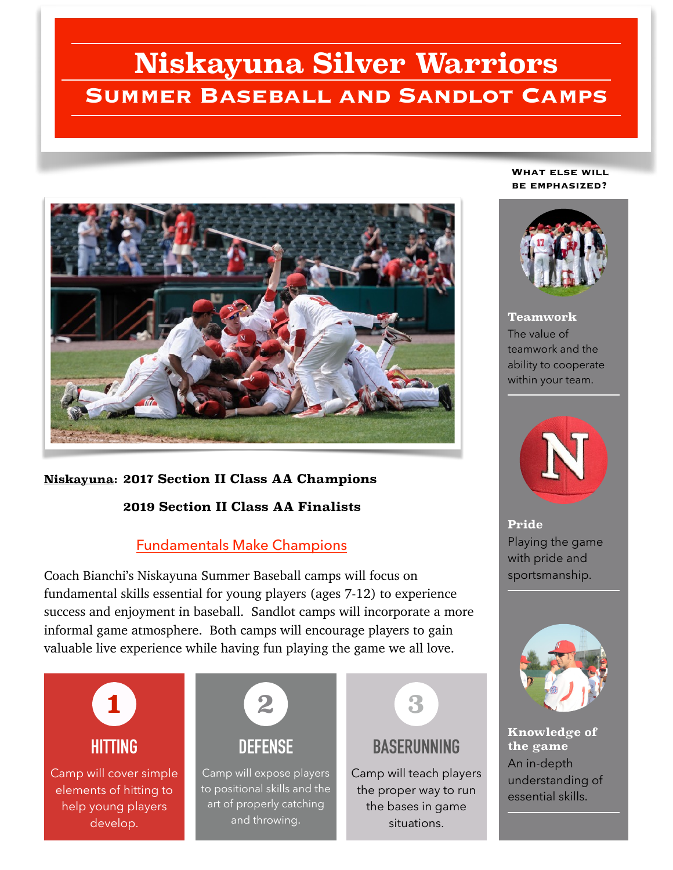# **Niskayuna Silver Warriors Summer Baseball and Sandlot Camps**



## **Niskayuna: 2017 Section II Class AA Champions**

#### **2019 Section II Class AA Finalists**

### Fundamentals Make Champions

Coach Bianchi's Niskayuna Summer Baseball camps will focus on fundamental skills essential for young players (ages 7-12) to experience success and enjoyment in baseball. Sandlot camps will incorporate a more informal game atmosphere. Both camps will encourage players to gain valuable live experience while having fun playing the game we all love.



#### **What else will be emphasized?**



**Teamwork** The value of teamwork and the ability to cooperate within your team.



**Pride** Playing the game with pride and sportsmanship.



**Knowledge of the game** An in-depth understanding of essential skills.